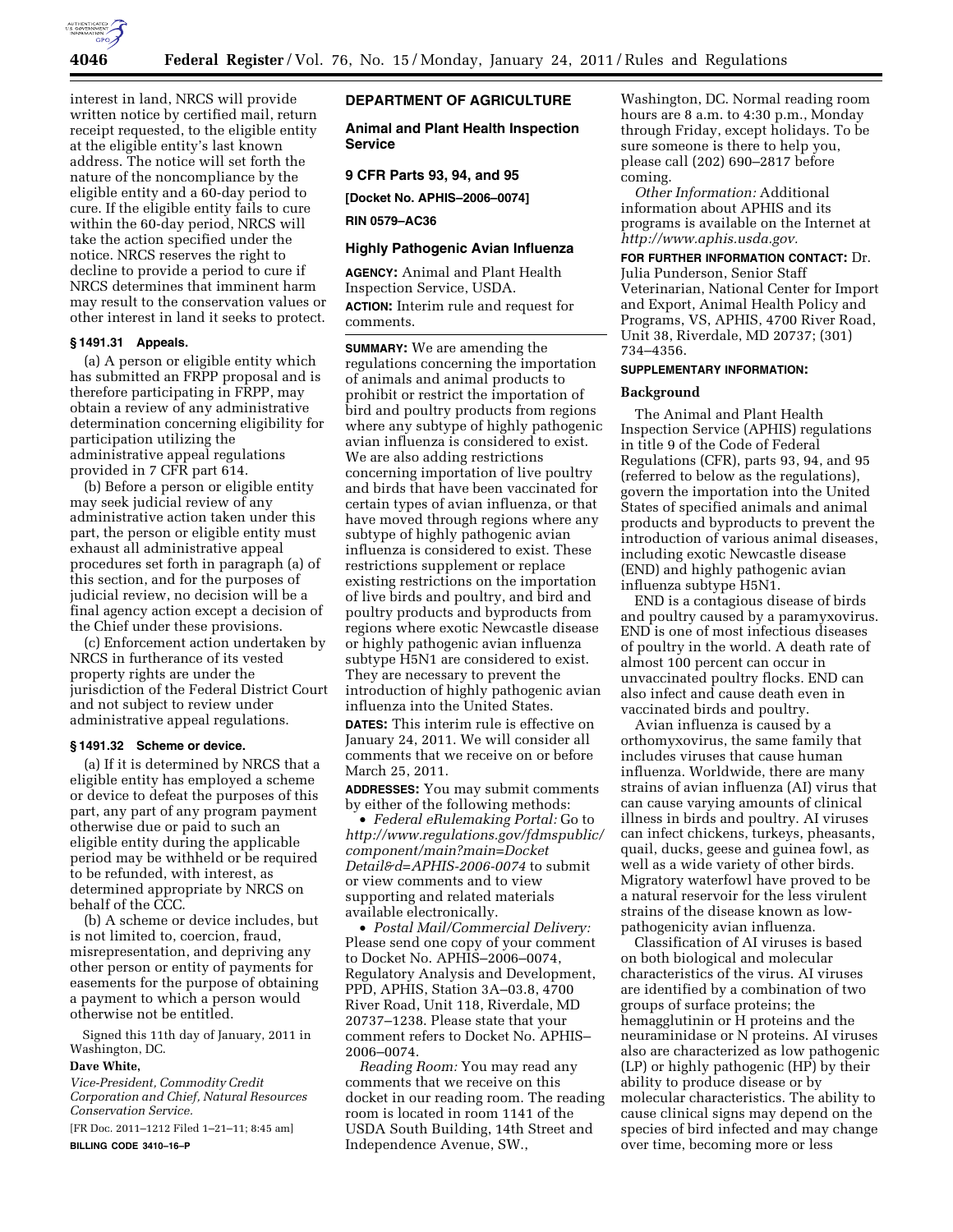

interest in land, NRCS will provide written notice by certified mail, return receipt requested, to the eligible entity at the eligible entity's last known address. The notice will set forth the nature of the noncompliance by the eligible entity and a 60-day period to cure. If the eligible entity fails to cure within the 60-day period, NRCS will take the action specified under the notice. NRCS reserves the right to decline to provide a period to cure if NRCS determines that imminent harm may result to the conservation values or other interest in land it seeks to protect.

### **§ 1491.31 Appeals.**

(a) A person or eligible entity which has submitted an FRPP proposal and is therefore participating in FRPP, may obtain a review of any administrative determination concerning eligibility for participation utilizing the administrative appeal regulations provided in 7 CFR part 614.

(b) Before a person or eligible entity may seek judicial review of any administrative action taken under this part, the person or eligible entity must exhaust all administrative appeal procedures set forth in paragraph (a) of this section, and for the purposes of judicial review, no decision will be a final agency action except a decision of the Chief under these provisions.

(c) Enforcement action undertaken by NRCS in furtherance of its vested property rights are under the jurisdiction of the Federal District Court and not subject to review under administrative appeal regulations.

### **§ 1491.32 Scheme or device.**

(a) If it is determined by NRCS that a eligible entity has employed a scheme or device to defeat the purposes of this part, any part of any program payment otherwise due or paid to such an eligible entity during the applicable period may be withheld or be required to be refunded, with interest, as determined appropriate by NRCS on behalf of the CCC.

(b) A scheme or device includes, but is not limited to, coercion, fraud, misrepresentation, and depriving any other person or entity of payments for easements for the purpose of obtaining a payment to which a person would otherwise not be entitled.

Signed this 11th day of January, 2011 in Washington, DC.

### **Dave White,**

*Vice-President, Commodity Credit Corporation and Chief, Natural Resources Conservation Service.* 

[FR Doc. 2011–1212 Filed 1–21–11; 8:45 am] **BILLING CODE 3410–16–P** 

# **DEPARTMENT OF AGRICULTURE**

**Animal and Plant Health Inspection Service** 

## **9 CFR Parts 93, 94, and 95**

**[Docket No. APHIS–2006–0074]** 

**RIN 0579–AC36** 

### **Highly Pathogenic Avian Influenza**

**AGENCY:** Animal and Plant Health Inspection Service, USDA. **ACTION:** Interim rule and request for comments.

**SUMMARY:** We are amending the regulations concerning the importation of animals and animal products to prohibit or restrict the importation of bird and poultry products from regions where any subtype of highly pathogenic avian influenza is considered to exist. We are also adding restrictions concerning importation of live poultry and birds that have been vaccinated for certain types of avian influenza, or that have moved through regions where any subtype of highly pathogenic avian influenza is considered to exist. These restrictions supplement or replace existing restrictions on the importation of live birds and poultry, and bird and poultry products and byproducts from regions where exotic Newcastle disease or highly pathogenic avian influenza subtype H5N1 are considered to exist. They are necessary to prevent the introduction of highly pathogenic avian influenza into the United States.

**DATES:** This interim rule is effective on January 24, 2011. We will consider all comments that we receive on or before March 25, 2011.

**ADDRESSES:** You may submit comments by either of the following methods:

• *Federal eRulemaking Portal:* Go to *[http://www.regulations.gov/fdmspublic/](http://www.regulations.gov/fdmspublic/component/main?main=DocketDetail&d=APHIS-2006-0074) [component/main?main=Docket](http://www.regulations.gov/fdmspublic/component/main?main=DocketDetail&d=APHIS-2006-0074) [Detail&d=APHIS-2006-0074](http://www.regulations.gov/fdmspublic/component/main?main=DocketDetail&d=APHIS-2006-0074)* to submit or view comments and to view supporting and related materials available electronically.

• *Postal Mail/Commercial Delivery:*  Please send one copy of your comment to Docket No. APHIS–2006–0074, Regulatory Analysis and Development, PPD, APHIS, Station 3A–03.8, 4700 River Road, Unit 118, Riverdale, MD 20737–1238. Please state that your comment refers to Docket No. APHIS– 2006–0074.

*Reading Room:* You may read any comments that we receive on this docket in our reading room. The reading room is located in room 1141 of the USDA South Building, 14th Street and Independence Avenue, SW.,

Washington, DC. Normal reading room hours are 8 a.m. to 4:30 p.m., Monday through Friday, except holidays. To be sure someone is there to help you, please call (202) 690–2817 before coming.

*Other Information:* Additional information about APHIS and its programs is available on the Internet at *[http://www.aphis.usda.gov.](http://www.aphis.usda.gov)* 

# **FOR FURTHER INFORMATION CONTACT:** Dr.

Julia Punderson, Senior Staff Veterinarian, National Center for Import and Export, Animal Health Policy and Programs, VS, APHIS, 4700 River Road, Unit 38, Riverdale, MD 20737; (301) 734–4356.

### **SUPPLEMENTARY INFORMATION:**

### **Background**

The Animal and Plant Health Inspection Service (APHIS) regulations in title 9 of the Code of Federal Regulations (CFR), parts 93, 94, and 95 (referred to below as the regulations), govern the importation into the United States of specified animals and animal products and byproducts to prevent the introduction of various animal diseases, including exotic Newcastle disease (END) and highly pathogenic avian influenza subtype H5N1.

END is a contagious disease of birds and poultry caused by a paramyxovirus. END is one of most infectious diseases of poultry in the world. A death rate of almost 100 percent can occur in unvaccinated poultry flocks. END can also infect and cause death even in vaccinated birds and poultry.

Avian influenza is caused by a orthomyxovirus, the same family that includes viruses that cause human influenza. Worldwide, there are many strains of avian influenza (AI) virus that can cause varying amounts of clinical illness in birds and poultry. AI viruses can infect chickens, turkeys, pheasants, quail, ducks, geese and guinea fowl, as well as a wide variety of other birds. Migratory waterfowl have proved to be a natural reservoir for the less virulent strains of the disease known as lowpathogenicity avian influenza.

Classification of AI viruses is based on both biological and molecular characteristics of the virus. AI viruses are identified by a combination of two groups of surface proteins; the hemagglutinin or H proteins and the neuraminidase or N proteins. AI viruses also are characterized as low pathogenic (LP) or highly pathogenic (HP) by their ability to produce disease or by molecular characteristics. The ability to cause clinical signs may depend on the species of bird infected and may change over time, becoming more or less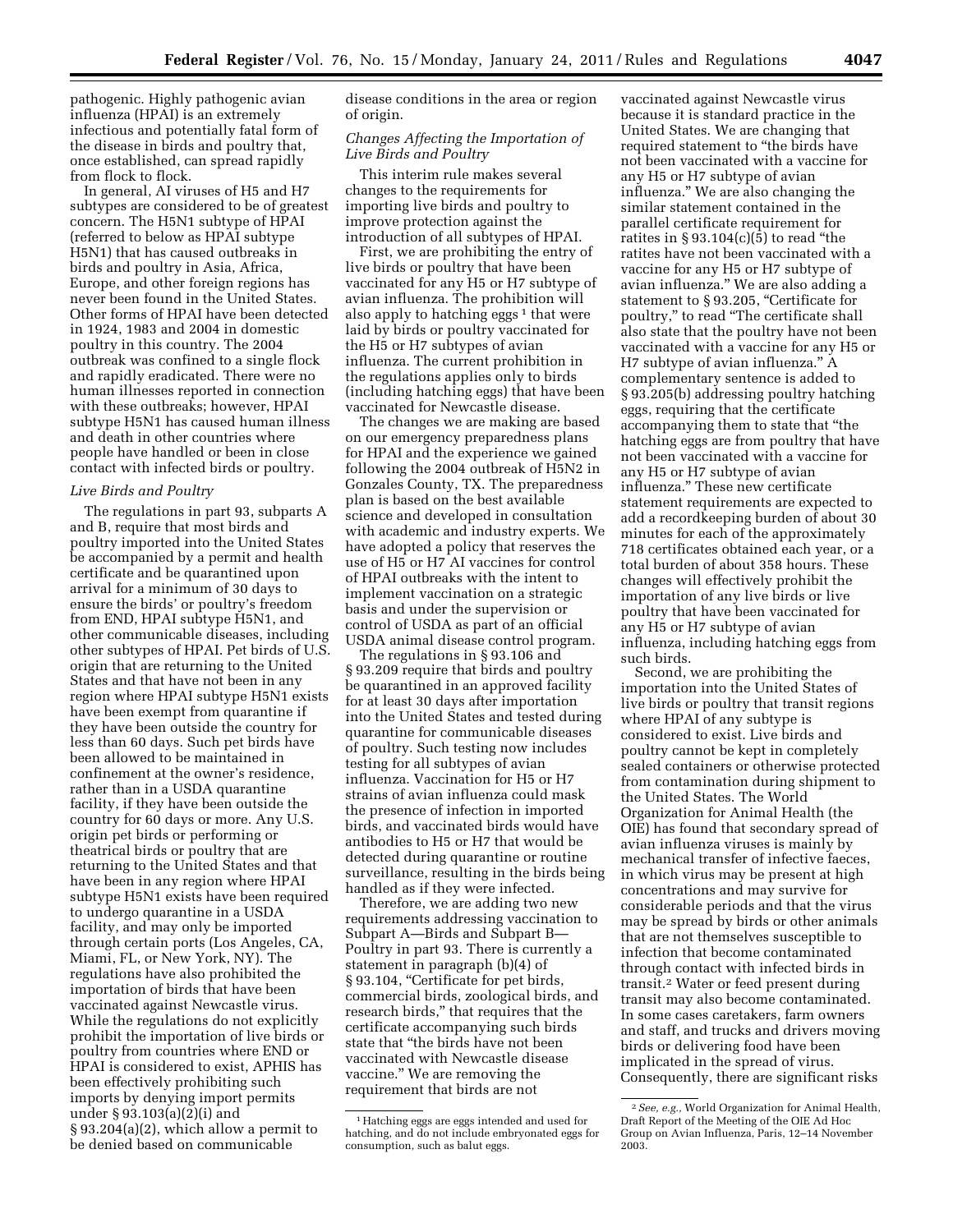pathogenic. Highly pathogenic avian influenza (HPAI) is an extremely infectious and potentially fatal form of the disease in birds and poultry that, once established, can spread rapidly from flock to flock.

In general, AI viruses of H5 and H7 subtypes are considered to be of greatest concern. The H5N1 subtype of HPAI (referred to below as HPAI subtype H5N1) that has caused outbreaks in birds and poultry in Asia, Africa, Europe, and other foreign regions has never been found in the United States. Other forms of HPAI have been detected in 1924, 1983 and 2004 in domestic poultry in this country. The 2004 outbreak was confined to a single flock and rapidly eradicated. There were no human illnesses reported in connection with these outbreaks; however, HPAI subtype H5N1 has caused human illness and death in other countries where people have handled or been in close contact with infected birds or poultry.

#### *Live Birds and Poultry*

The regulations in part 93, subparts A and B, require that most birds and poultry imported into the United States be accompanied by a permit and health certificate and be quarantined upon arrival for a minimum of 30 days to ensure the birds' or poultry's freedom from END, HPAI subtype H5N1, and other communicable diseases, including other subtypes of HPAI. Pet birds of U.S. origin that are returning to the United States and that have not been in any region where HPAI subtype H5N1 exists have been exempt from quarantine if they have been outside the country for less than 60 days. Such pet birds have been allowed to be maintained in confinement at the owner's residence, rather than in a USDA quarantine facility, if they have been outside the country for 60 days or more. Any U.S. origin pet birds or performing or theatrical birds or poultry that are returning to the United States and that have been in any region where HPAI subtype H5N1 exists have been required to undergo quarantine in a USDA facility, and may only be imported through certain ports (Los Angeles, CA, Miami, FL, or New York, NY). The regulations have also prohibited the importation of birds that have been vaccinated against Newcastle virus. While the regulations do not explicitly prohibit the importation of live birds or poultry from countries where END or HPAI is considered to exist, APHIS has been effectively prohibiting such imports by denying import permits under § 93.103(a)(2)(i) and § 93.204(a)(2), which allow a permit to be denied based on communicable

disease conditions in the area or region of origin.

## *Changes Affecting the Importation of Live Birds and Poultry*

This interim rule makes several changes to the requirements for importing live birds and poultry to improve protection against the introduction of all subtypes of HPAI.

First, we are prohibiting the entry of live birds or poultry that have been vaccinated for any H5 or H7 subtype of avian influenza. The prohibition will also apply to hatching eggs  $<sup>1</sup>$  that were</sup> laid by birds or poultry vaccinated for the H5 or H7 subtypes of avian influenza. The current prohibition in the regulations applies only to birds (including hatching eggs) that have been vaccinated for Newcastle disease.

The changes we are making are based on our emergency preparedness plans for HPAI and the experience we gained following the 2004 outbreak of H5N2 in Gonzales County, TX. The preparedness plan is based on the best available science and developed in consultation with academic and industry experts. We have adopted a policy that reserves the use of H5 or H7 AI vaccines for control of HPAI outbreaks with the intent to implement vaccination on a strategic basis and under the supervision or control of USDA as part of an official USDA animal disease control program.

The regulations in § 93.106 and § 93.209 require that birds and poultry be quarantined in an approved facility for at least 30 days after importation into the United States and tested during quarantine for communicable diseases of poultry. Such testing now includes testing for all subtypes of avian influenza. Vaccination for H5 or H7 strains of avian influenza could mask the presence of infection in imported birds, and vaccinated birds would have antibodies to H5 or H7 that would be detected during quarantine or routine surveillance, resulting in the birds being handled as if they were infected.

Therefore, we are adding two new requirements addressing vaccination to Subpart A—Birds and Subpart B— Poultry in part 93. There is currently a statement in paragraph (b)(4) of § 93.104, "Certificate for pet birds, commercial birds, zoological birds, and research birds,'' that requires that the certificate accompanying such birds state that ''the birds have not been vaccinated with Newcastle disease vaccine.'' We are removing the requirement that birds are not

vaccinated against Newcastle virus because it is standard practice in the United States. We are changing that required statement to "the birds have not been vaccinated with a vaccine for any H5 or H7 subtype of avian influenza.'' We are also changing the similar statement contained in the parallel certificate requirement for ratites in  $\S 93.104(c)(5)$  to read "the ratites have not been vaccinated with a vaccine for any H5 or H7 subtype of avian influenza.'' We are also adding a statement to § 93.205, "Certificate for poultry,'' to read ''The certificate shall also state that the poultry have not been vaccinated with a vaccine for any H5 or H7 subtype of avian influenza.'' A complementary sentence is added to § 93.205(b) addressing poultry hatching eggs, requiring that the certificate accompanying them to state that ''the hatching eggs are from poultry that have not been vaccinated with a vaccine for any H5 or H7 subtype of avian influenza.'' These new certificate statement requirements are expected to add a recordkeeping burden of about 30 minutes for each of the approximately 718 certificates obtained each year, or a total burden of about 358 hours. These changes will effectively prohibit the importation of any live birds or live poultry that have been vaccinated for any H5 or H7 subtype of avian influenza, including hatching eggs from such birds.

Second, we are prohibiting the importation into the United States of live birds or poultry that transit regions where HPAI of any subtype is considered to exist. Live birds and poultry cannot be kept in completely sealed containers or otherwise protected from contamination during shipment to the United States. The World Organization for Animal Health (the OIE) has found that secondary spread of avian influenza viruses is mainly by mechanical transfer of infective faeces, in which virus may be present at high concentrations and may survive for considerable periods and that the virus may be spread by birds or other animals that are not themselves susceptible to infection that become contaminated through contact with infected birds in transit.2 Water or feed present during transit may also become contaminated. In some cases caretakers, farm owners and staff, and trucks and drivers moving birds or delivering food have been implicated in the spread of virus. Consequently, there are significant risks

<sup>1</sup>Hatching eggs are eggs intended and used for hatching, and do not include embryonated eggs for consumption, such as balut eggs.

<sup>2</sup>*See, e.g.,* World Organization for Animal Health, Draft Report of the Meeting of the OIE Ad Hoc Group on Avian Influenza, Paris, 12–14 November 2003.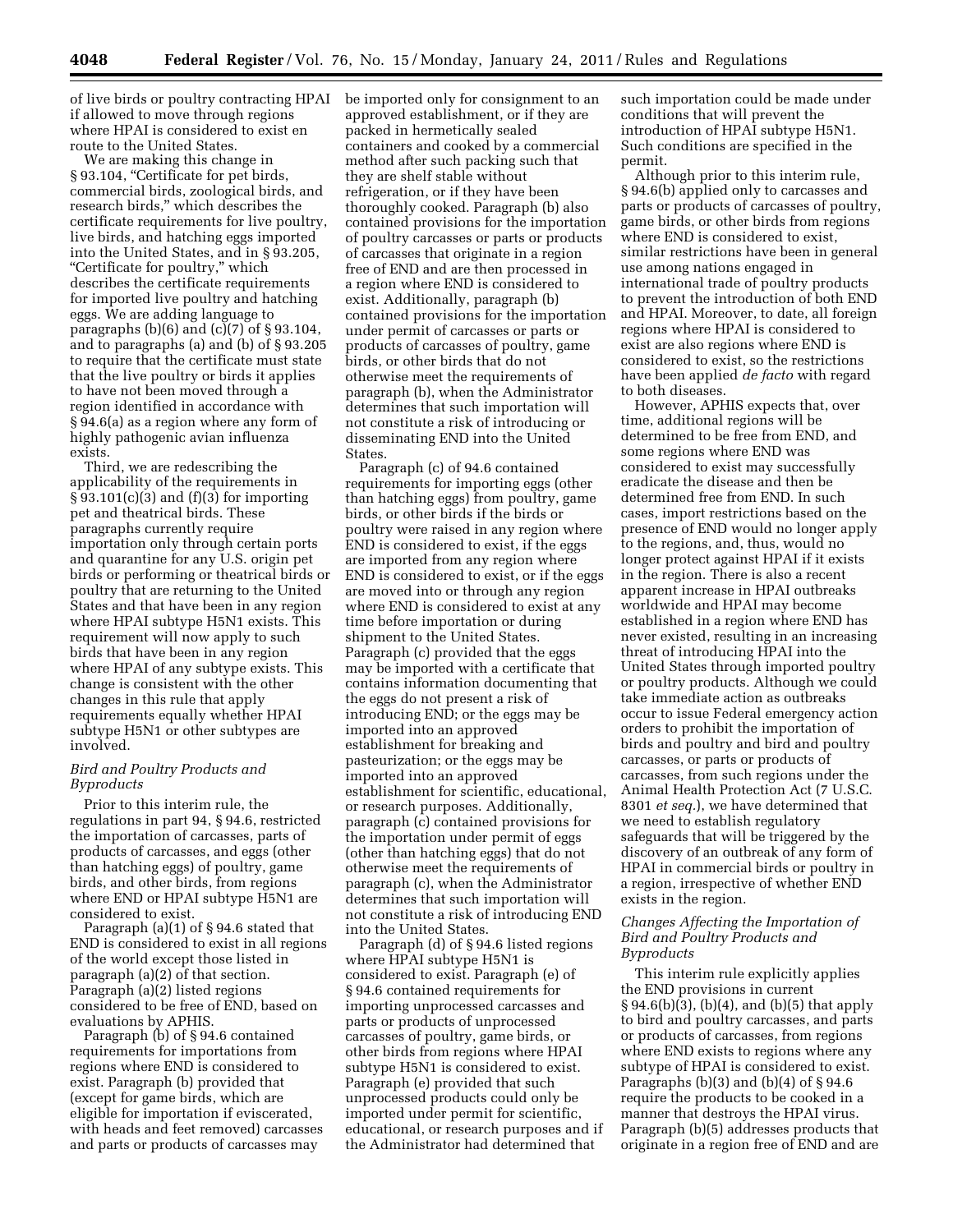of live birds or poultry contracting HPAI if allowed to move through regions where HPAI is considered to exist en route to the United States.

We are making this change in § 93.104, "Certificate for pet birds, commercial birds, zoological birds, and research birds,'' which describes the certificate requirements for live poultry, live birds, and hatching eggs imported into the United States, and in § 93.205, ''Certificate for poultry,'' which describes the certificate requirements for imported live poultry and hatching eggs. We are adding language to paragraphs  $(b)(6)$  and  $(c)(7)$  of § 93.104, and to paragraphs (a) and (b) of § 93.205 to require that the certificate must state that the live poultry or birds it applies to have not been moved through a region identified in accordance with § 94.6(a) as a region where any form of highly pathogenic avian influenza exists.

Third, we are redescribing the applicability of the requirements in § 93.101(c)(3) and (f)(3) for importing pet and theatrical birds. These paragraphs currently require importation only through certain ports and quarantine for any U.S. origin pet birds or performing or theatrical birds or poultry that are returning to the United States and that have been in any region where HPAI subtype H5N1 exists. This requirement will now apply to such birds that have been in any region where HPAI of any subtype exists. This change is consistent with the other changes in this rule that apply requirements equally whether HPAI subtype H5N1 or other subtypes are involved.

# *Bird and Poultry Products and Byproducts*

Prior to this interim rule, the regulations in part 94, § 94.6, restricted the importation of carcasses, parts of products of carcasses, and eggs (other than hatching eggs) of poultry, game birds, and other birds, from regions where END or HPAI subtype H5N1 are considered to exist.

Paragraph (a)(1) of § 94.6 stated that END is considered to exist in all regions of the world except those listed in paragraph (a)(2) of that section. Paragraph (a)(2) listed regions considered to be free of END, based on evaluations by APHIS.

Paragraph (b) of § 94.6 contained requirements for importations from regions where END is considered to exist. Paragraph (b) provided that (except for game birds, which are eligible for importation if eviscerated, with heads and feet removed) carcasses and parts or products of carcasses may

be imported only for consignment to an approved establishment, or if they are packed in hermetically sealed containers and cooked by a commercial method after such packing such that they are shelf stable without refrigeration, or if they have been thoroughly cooked. Paragraph (b) also contained provisions for the importation of poultry carcasses or parts or products of carcasses that originate in a region free of END and are then processed in a region where END is considered to exist. Additionally, paragraph (b) contained provisions for the importation under permit of carcasses or parts or products of carcasses of poultry, game birds, or other birds that do not otherwise meet the requirements of paragraph (b), when the Administrator determines that such importation will not constitute a risk of introducing or disseminating END into the United States.

Paragraph (c) of 94.6 contained requirements for importing eggs (other than hatching eggs) from poultry, game birds, or other birds if the birds or poultry were raised in any region where END is considered to exist, if the eggs are imported from any region where END is considered to exist, or if the eggs are moved into or through any region where END is considered to exist at any time before importation or during shipment to the United States. Paragraph (c) provided that the eggs may be imported with a certificate that contains information documenting that the eggs do not present a risk of introducing END; or the eggs may be imported into an approved establishment for breaking and pasteurization; or the eggs may be imported into an approved establishment for scientific, educational, or research purposes. Additionally, paragraph (c) contained provisions for the importation under permit of eggs (other than hatching eggs) that do not otherwise meet the requirements of paragraph (c), when the Administrator determines that such importation will not constitute a risk of introducing END into the United States.

Paragraph (d) of § 94.6 listed regions where HPAI subtype H5N1 is considered to exist. Paragraph (e) of § 94.6 contained requirements for importing unprocessed carcasses and parts or products of unprocessed carcasses of poultry, game birds, or other birds from regions where HPAI subtype H5N1 is considered to exist. Paragraph (e) provided that such unprocessed products could only be imported under permit for scientific, educational, or research purposes and if the Administrator had determined that

such importation could be made under conditions that will prevent the introduction of HPAI subtype H5N1. Such conditions are specified in the permit.

Although prior to this interim rule, § 94.6(b) applied only to carcasses and parts or products of carcasses of poultry, game birds, or other birds from regions where END is considered to exist, similar restrictions have been in general use among nations engaged in international trade of poultry products to prevent the introduction of both END and HPAI. Moreover, to date, all foreign regions where HPAI is considered to exist are also regions where END is considered to exist, so the restrictions have been applied *de facto* with regard to both diseases.

However, APHIS expects that, over time, additional regions will be determined to be free from END, and some regions where END was considered to exist may successfully eradicate the disease and then be determined free from END. In such cases, import restrictions based on the presence of END would no longer apply to the regions, and, thus, would no longer protect against HPAI if it exists in the region. There is also a recent apparent increase in HPAI outbreaks worldwide and HPAI may become established in a region where END has never existed, resulting in an increasing threat of introducing HPAI into the United States through imported poultry or poultry products. Although we could take immediate action as outbreaks occur to issue Federal emergency action orders to prohibit the importation of birds and poultry and bird and poultry carcasses, or parts or products of carcasses, from such regions under the Animal Health Protection Act (7 U.S.C. 8301 *et seq.*), we have determined that we need to establish regulatory safeguards that will be triggered by the discovery of an outbreak of any form of HPAI in commercial birds or poultry in a region, irrespective of whether END exists in the region.

## *Changes Affecting the Importation of Bird and Poultry Products and Byproducts*

This interim rule explicitly applies the END provisions in current § 94.6(b)(3), (b)(4), and (b)(5) that apply to bird and poultry carcasses, and parts or products of carcasses, from regions where END exists to regions where any subtype of HPAI is considered to exist. Paragraphs  $(b)(3)$  and  $(b)(4)$  of  $\S 94.6$ require the products to be cooked in a manner that destroys the HPAI virus. Paragraph (b)(5) addresses products that originate in a region free of END and are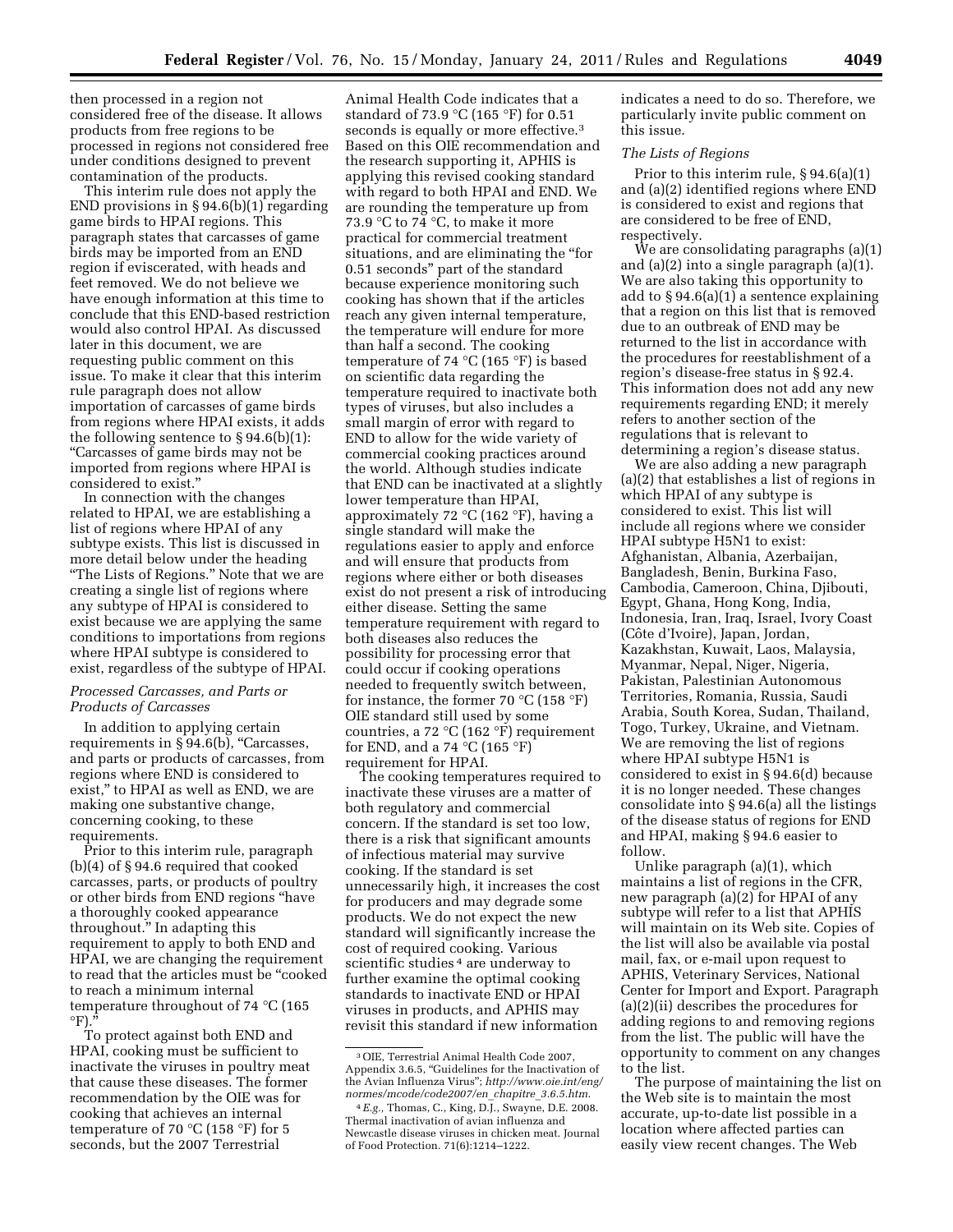then processed in a region not considered free of the disease. It allows products from free regions to be processed in regions not considered free under conditions designed to prevent contamination of the products.

This interim rule does not apply the END provisions in § 94.6(b)(1) regarding game birds to HPAI regions. This paragraph states that carcasses of game birds may be imported from an END region if eviscerated, with heads and feet removed. We do not believe we have enough information at this time to conclude that this END-based restriction would also control HPAI. As discussed later in this document, we are requesting public comment on this issue. To make it clear that this interim rule paragraph does not allow importation of carcasses of game birds from regions where HPAI exists, it adds the following sentence to § 94.6(b)(1): ''Carcasses of game birds may not be imported from regions where HPAI is considered to exist.''

In connection with the changes related to HPAI, we are establishing a list of regions where HPAI of any subtype exists. This list is discussed in more detail below under the heading ''The Lists of Regions.'' Note that we are creating a single list of regions where any subtype of HPAI is considered to exist because we are applying the same conditions to importations from regions where HPAI subtype is considered to exist, regardless of the subtype of HPAI.

## *Processed Carcasses, and Parts or Products of Carcasses*

In addition to applying certain requirements in  $\S 94.6(b)$ , "Carcasses, and parts or products of carcasses, from regions where END is considered to exist,'' to HPAI as well as END, we are making one substantive change, concerning cooking, to these requirements.

Prior to this interim rule, paragraph (b)(4) of § 94.6 required that cooked carcasses, parts, or products of poultry or other birds from END regions ''have a thoroughly cooked appearance throughout.'' In adapting this requirement to apply to both END and HPAI, we are changing the requirement to read that the articles must be ''cooked to reach a minimum internal temperature throughout of 74 °C (165  $\mathrm{P}$ )."

To protect against both END and HPAI, cooking must be sufficient to inactivate the viruses in poultry meat that cause these diseases. The former recommendation by the OIE was for cooking that achieves an internal temperature of 70 °C (158 °F) for 5 seconds, but the 2007 Terrestrial

Animal Health Code indicates that a standard of 73.9 °C (165 °F) for 0.51 seconds is equally or more effective.<sup>3</sup> Based on this OIE recommendation and the research supporting it, APHIS is applying this revised cooking standard with regard to both HPAI and END. We are rounding the temperature up from 73.9 °C to 74 °C, to make it more practical for commercial treatment situations, and are eliminating the "for 0.51 seconds'' part of the standard because experience monitoring such cooking has shown that if the articles reach any given internal temperature, the temperature will endure for more than half a second. The cooking temperature of 74 °C (165 °F) is based on scientific data regarding the temperature required to inactivate both types of viruses, but also includes a small margin of error with regard to END to allow for the wide variety of commercial cooking practices around the world. Although studies indicate that END can be inactivated at a slightly lower temperature than HPAI, approximately 72 °C (162 °F), having a single standard will make the regulations easier to apply and enforce and will ensure that products from regions where either or both diseases exist do not present a risk of introducing either disease. Setting the same temperature requirement with regard to both diseases also reduces the possibility for processing error that could occur if cooking operations needed to frequently switch between, for instance, the former 70  $\mathrm{^{\circ}C}$  (158  $\mathrm{^{\circ}F}$ ) OIE standard still used by some countries, a 72 °C (162 °F) requirement for END, and a 74  $^{\circ}$ C (165  $^{\circ}$ F) requirement for HPAI.

The cooking temperatures required to inactivate these viruses are a matter of both regulatory and commercial concern. If the standard is set too low, there is a risk that significant amounts of infectious material may survive cooking. If the standard is set unnecessarily high, it increases the cost for producers and may degrade some products. We do not expect the new standard will significantly increase the cost of required cooking. Various scientific studies <sup>4</sup> are underway to further examine the optimal cooking standards to inactivate END or HPAI viruses in products, and APHIS may revisit this standard if new information

indicates a need to do so. Therefore, we particularly invite public comment on this issue.

### *The Lists of Regions*

Prior to this interim rule, § 94.6(a)(1) and (a)(2) identified regions where END is considered to exist and regions that are considered to be free of END, respectively.

We are consolidating paragraphs (a)(1) and (a)(2) into a single paragraph (a)(1). We are also taking this opportunity to add to § 94.6(a)(1) a sentence explaining that a region on this list that is removed due to an outbreak of END may be returned to the list in accordance with the procedures for reestablishment of a region's disease-free status in § 92.4. This information does not add any new requirements regarding END; it merely refers to another section of the regulations that is relevant to determining a region's disease status.

We are also adding a new paragraph (a)(2) that establishes a list of regions in which HPAI of any subtype is considered to exist. This list will include all regions where we consider HPAI subtype H5N1 to exist: Afghanistan, Albania, Azerbaijan, Bangladesh, Benin, Burkina Faso, Cambodia, Cameroon, China, Djibouti, Egypt, Ghana, Hong Kong, India, Indonesia, Iran, Iraq, Israel, Ivory Coast (Côte d'Ivoire), Japan, Jordan, Kazakhstan, Kuwait, Laos, Malaysia, Myanmar, Nepal, Niger, Nigeria, Pakistan, Palestinian Autonomous Territories, Romania, Russia, Saudi Arabia, South Korea, Sudan, Thailand, Togo, Turkey, Ukraine, and Vietnam. We are removing the list of regions where HPAI subtype H5N1 is considered to exist in § 94.6(d) because it is no longer needed. These changes consolidate into § 94.6(a) all the listings of the disease status of regions for END and HPAI, making § 94.6 easier to follow.

Unlike paragraph (a)(1), which maintains a list of regions in the CFR, new paragraph (a)(2) for HPAI of any subtype will refer to a list that APHIS will maintain on its Web site. Copies of the list will also be available via postal mail, fax, or e-mail upon request to APHIS, Veterinary Services, National Center for Import and Export. Paragraph (a)(2)(ii) describes the procedures for adding regions to and removing regions from the list. The public will have the opportunity to comment on any changes to the list.

The purpose of maintaining the list on the Web site is to maintain the most accurate, up-to-date list possible in a location where affected parties can easily view recent changes. The Web

<sup>3</sup>OIE, Terrestrial Animal Health Code 2007, Appendix 3.6.5, ''Guidelines for the Inactivation of the Avian Influenza Virus''; *[http://www.oie.int/eng/](http://www.oie.int/eng/normes/mcode/code2007/en_chapitre_3.6.5.htm) [normes/mcode/code2007/en](http://www.oie.int/eng/normes/mcode/code2007/en_chapitre_3.6.5.htm)*\_*chapitre*\_*3.6.5.htm*.

<sup>4</sup>*E.g.,* Thomas, C., King, D.J., Swayne, D.E. 2008. Thermal inactivation of avian influenza and Newcastle disease viruses in chicken meat. Journal of Food Protection. 71(6):1214–1222.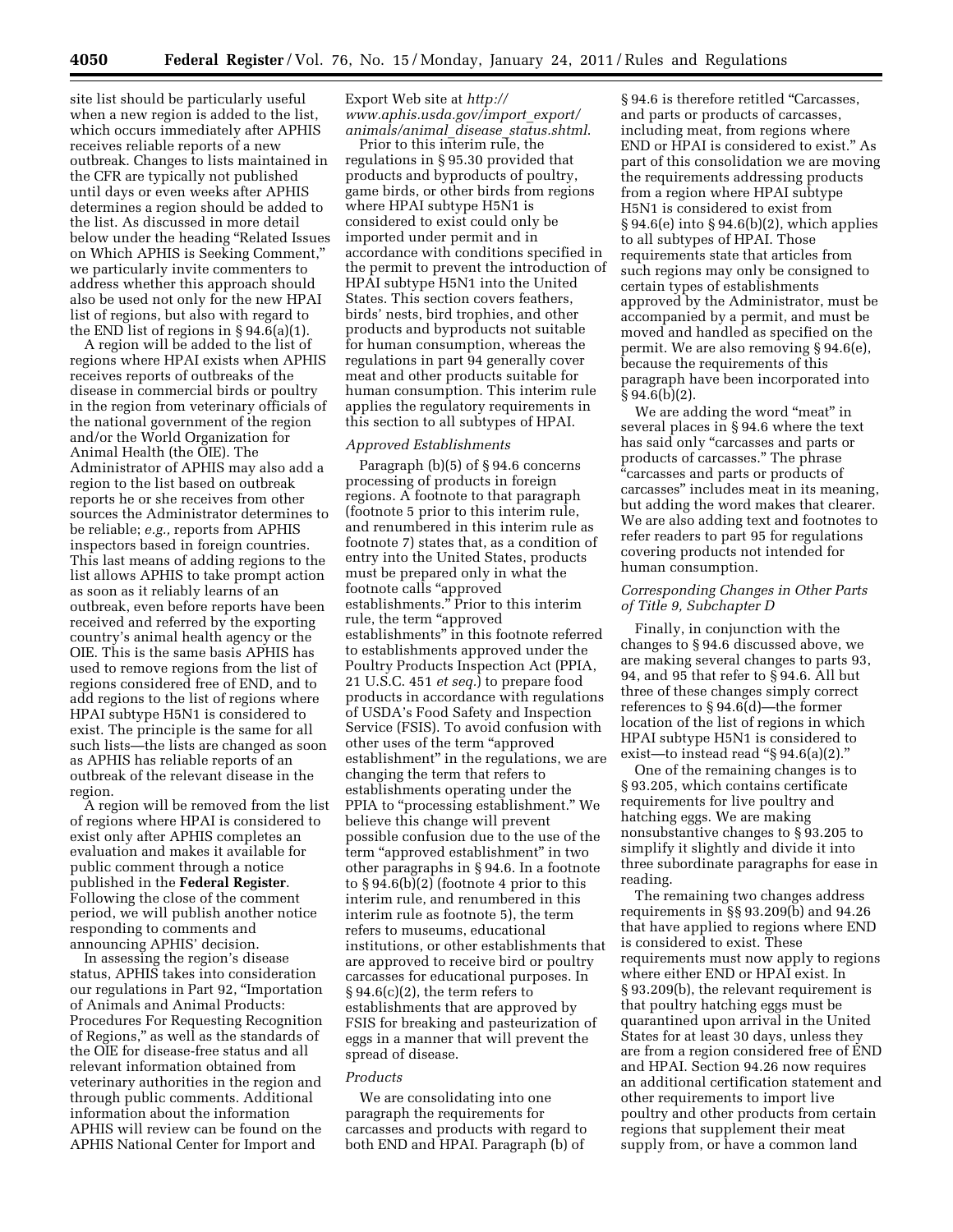site list should be particularly useful when a new region is added to the list, which occurs immediately after APHIS receives reliable reports of a new outbreak. Changes to lists maintained in the CFR are typically not published until days or even weeks after APHIS determines a region should be added to the list. As discussed in more detail below under the heading ''Related Issues on Which APHIS is Seeking Comment,'' we particularly invite commenters to address whether this approach should also be used not only for the new HPAI list of regions, but also with regard to the END list of regions in § 94.6(a)(1).

A region will be added to the list of regions where HPAI exists when APHIS receives reports of outbreaks of the disease in commercial birds or poultry in the region from veterinary officials of the national government of the region and/or the World Organization for Animal Health (the OIE). The Administrator of APHIS may also add a region to the list based on outbreak reports he or she receives from other sources the Administrator determines to be reliable; *e.g.,* reports from APHIS inspectors based in foreign countries. This last means of adding regions to the list allows APHIS to take prompt action as soon as it reliably learns of an outbreak, even before reports have been received and referred by the exporting country's animal health agency or the OIE. This is the same basis APHIS has used to remove regions from the list of regions considered free of END, and to add regions to the list of regions where HPAI subtype H5N1 is considered to exist. The principle is the same for all such lists—the lists are changed as soon as APHIS has reliable reports of an outbreak of the relevant disease in the region.

A region will be removed from the list of regions where HPAI is considered to exist only after APHIS completes an evaluation and makes it available for public comment through a notice published in the **Federal Register**. Following the close of the comment period, we will publish another notice responding to comments and announcing APHIS' decision.

In assessing the region's disease status, APHIS takes into consideration our regulations in Part 92, ''Importation of Animals and Animal Products: Procedures For Requesting Recognition of Regions,'' as well as the standards of the OIE for disease-free status and all relevant information obtained from veterinary authorities in the region and through public comments. Additional information about the information APHIS will review can be found on the APHIS National Center for Import and

# Export Web site at *[http://](http://www.aphis.usda.gov/import_export/animals/animal_disease_status.shtml) [www.aphis.usda.gov/import](http://www.aphis.usda.gov/import_export/animals/animal_disease_status.shtml)*\_*export/ [animals/animal](http://www.aphis.usda.gov/import_export/animals/animal_disease_status.shtml)*\_*disease*\_*status.shtml*.

Prior to this interim rule, the regulations in § 95.30 provided that products and byproducts of poultry, game birds, or other birds from regions where HPAI subtype H5N1 is considered to exist could only be imported under permit and in accordance with conditions specified in the permit to prevent the introduction of HPAI subtype H5N1 into the United States. This section covers feathers, birds' nests, bird trophies, and other products and byproducts not suitable for human consumption, whereas the regulations in part 94 generally cover meat and other products suitable for human consumption. This interim rule applies the regulatory requirements in this section to all subtypes of HPAI.

# *Approved Establishments*

Paragraph (b)(5) of § 94.6 concerns processing of products in foreign regions. A footnote to that paragraph (footnote 5 prior to this interim rule, and renumbered in this interim rule as footnote 7) states that, as a condition of entry into the United States, products must be prepared only in what the footnote calls ''approved establishments.'' Prior to this interim rule, the term "approved establishments'' in this footnote referred to establishments approved under the Poultry Products Inspection Act (PPIA, 21 U.S.C. 451 *et seq.*) to prepare food products in accordance with regulations of USDA's Food Safety and Inspection Service (FSIS). To avoid confusion with other uses of the term ''approved establishment'' in the regulations, we are changing the term that refers to establishments operating under the PPIA to ''processing establishment.'' We believe this change will prevent possible confusion due to the use of the term "approved establishment" in two other paragraphs in § 94.6. In a footnote to  $\S 94.6(b)(2)$  (footnote 4 prior to this interim rule, and renumbered in this interim rule as footnote 5), the term refers to museums, educational institutions, or other establishments that are approved to receive bird or poultry carcasses for educational purposes. In  $\S 94.6(c)(2)$ , the term refers to establishments that are approved by FSIS for breaking and pasteurization of eggs in a manner that will prevent the spread of disease.

#### *Products*

We are consolidating into one paragraph the requirements for carcasses and products with regard to both END and HPAI. Paragraph (b) of

§ 94.6 is therefore retitled "Carcasses, and parts or products of carcasses, including meat, from regions where END or HPAI is considered to exist.'' As part of this consolidation we are moving the requirements addressing products from a region where HPAI subtype H5N1 is considered to exist from § 94.6(e) into § 94.6(b)(2), which applies to all subtypes of HPAI. Those requirements state that articles from such regions may only be consigned to certain types of establishments approved by the Administrator, must be accompanied by a permit, and must be moved and handled as specified on the permit. We are also removing § 94.6(e), because the requirements of this paragraph have been incorporated into  $§ 94.6(b)(2).$ 

We are adding the word "meat" in several places in § 94.6 where the text has said only "carcasses and parts or products of carcasses.'' The phrase "carcasses and parts or products of carcasses'' includes meat in its meaning, but adding the word makes that clearer. We are also adding text and footnotes to refer readers to part 95 for regulations covering products not intended for human consumption.

## *Corresponding Changes in Other Parts of Title 9, Subchapter D*

Finally, in conjunction with the changes to § 94.6 discussed above, we are making several changes to parts 93, 94, and 95 that refer to § 94.6. All but three of these changes simply correct references to § 94.6(d)—the former location of the list of regions in which HPAI subtype H5N1 is considered to exist—to instead read ''§ 94.6(a)(2).''

One of the remaining changes is to § 93.205, which contains certificate requirements for live poultry and hatching eggs. We are making nonsubstantive changes to § 93.205 to simplify it slightly and divide it into three subordinate paragraphs for ease in reading.

The remaining two changes address requirements in §§ 93.209(b) and 94.26 that have applied to regions where END is considered to exist. These requirements must now apply to regions where either END or HPAI exist. In § 93.209(b), the relevant requirement is that poultry hatching eggs must be quarantined upon arrival in the United States for at least 30 days, unless they are from a region considered free of END and HPAI. Section 94.26 now requires an additional certification statement and other requirements to import live poultry and other products from certain regions that supplement their meat supply from, or have a common land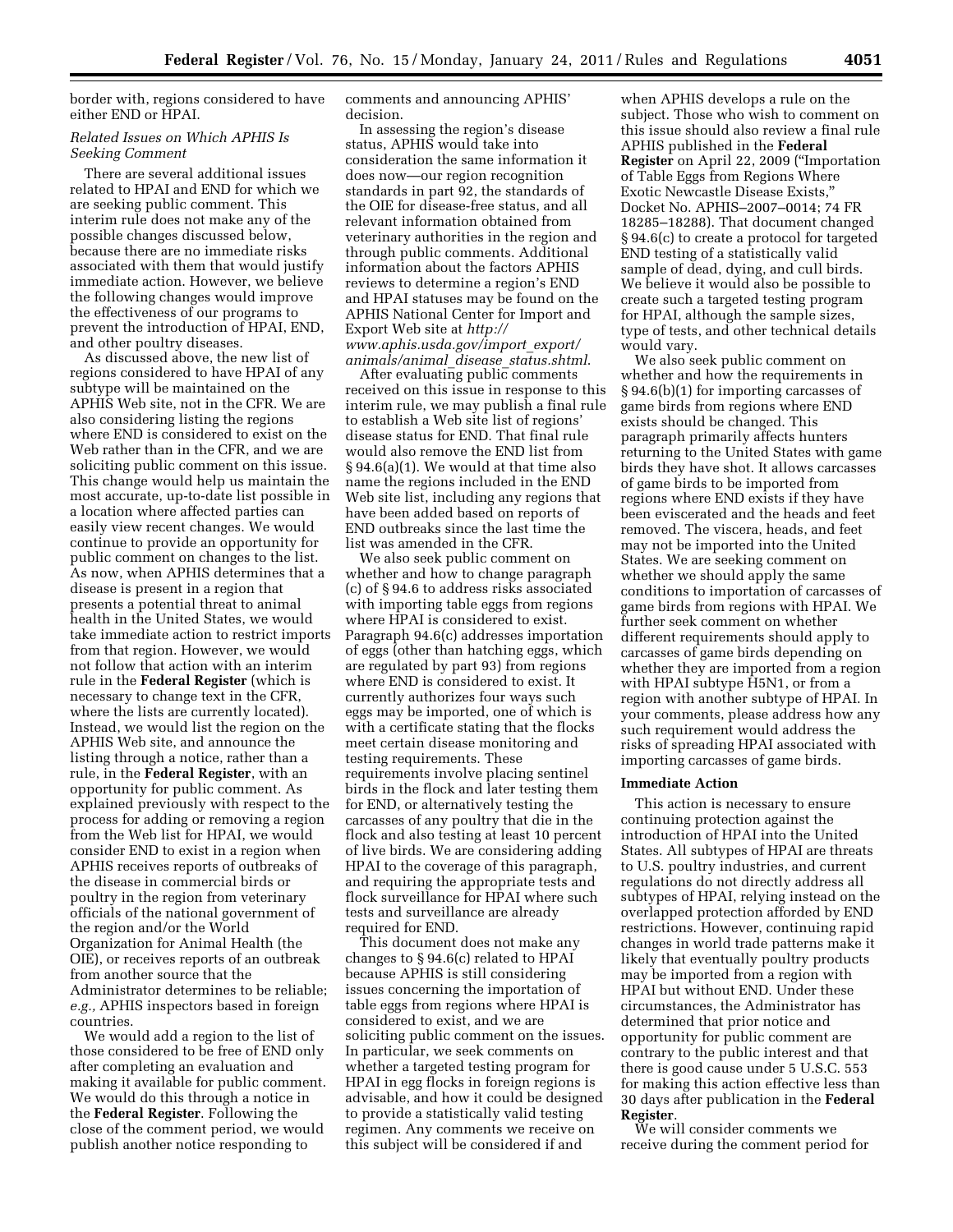border with, regions considered to have either END or HPAI.

## *Related Issues on Which APHIS Is Seeking Comment*

There are several additional issues related to HPAI and END for which we are seeking public comment. This interim rule does not make any of the possible changes discussed below, because there are no immediate risks associated with them that would justify immediate action. However, we believe the following changes would improve the effectiveness of our programs to prevent the introduction of HPAI, END, and other poultry diseases.

As discussed above, the new list of regions considered to have HPAI of any subtype will be maintained on the APHIS Web site, not in the CFR. We are also considering listing the regions where END is considered to exist on the Web rather than in the CFR, and we are soliciting public comment on this issue. This change would help us maintain the most accurate, up-to-date list possible in a location where affected parties can easily view recent changes. We would continue to provide an opportunity for public comment on changes to the list. As now, when APHIS determines that a disease is present in a region that presents a potential threat to animal health in the United States, we would take immediate action to restrict imports from that region. However, we would not follow that action with an interim rule in the **Federal Register** (which is necessary to change text in the CFR, where the lists are currently located). Instead, we would list the region on the APHIS Web site, and announce the listing through a notice, rather than a rule, in the **Federal Register**, with an opportunity for public comment. As explained previously with respect to the process for adding or removing a region from the Web list for HPAI, we would consider END to exist in a region when APHIS receives reports of outbreaks of the disease in commercial birds or poultry in the region from veterinary officials of the national government of the region and/or the World Organization for Animal Health (the OIE), or receives reports of an outbreak from another source that the Administrator determines to be reliable; *e.g.,* APHIS inspectors based in foreign countries.

We would add a region to the list of those considered to be free of END only after completing an evaluation and making it available for public comment. We would do this through a notice in the **Federal Register**. Following the close of the comment period, we would publish another notice responding to

comments and announcing APHIS' decision.

In assessing the region's disease status, APHIS would take into consideration the same information it does now—our region recognition standards in part 92, the standards of the OIE for disease-free status, and all relevant information obtained from veterinary authorities in the region and through public comments. Additional information about the factors APHIS reviews to determine a region's END and HPAI statuses may be found on the APHIS National Center for Import and Export Web site at *[http://](http://www.aphis.usda.gov/import_export/animals/animal_disease_status.shtml) [www.aphis.usda.gov/import](http://www.aphis.usda.gov/import_export/animals/animal_disease_status.shtml)*\_*export/ [animals/animal](http://www.aphis.usda.gov/import_export/animals/animal_disease_status.shtml)*\_*disease*\_*status.shtml*.

After evaluating public comments received on this issue in response to this interim rule, we may publish a final rule to establish a Web site list of regions' disease status for END. That final rule would also remove the END list from § 94.6(a)(1). We would at that time also name the regions included in the END Web site list, including any regions that have been added based on reports of END outbreaks since the last time the list was amended in the CFR.

We also seek public comment on whether and how to change paragraph (c) of § 94.6 to address risks associated with importing table eggs from regions where HPAI is considered to exist. Paragraph 94.6(c) addresses importation of eggs (other than hatching eggs, which are regulated by part 93) from regions where END is considered to exist. It currently authorizes four ways such eggs may be imported, one of which is with a certificate stating that the flocks meet certain disease monitoring and testing requirements. These requirements involve placing sentinel birds in the flock and later testing them for END, or alternatively testing the carcasses of any poultry that die in the flock and also testing at least 10 percent of live birds. We are considering adding HPAI to the coverage of this paragraph, and requiring the appropriate tests and flock surveillance for HPAI where such tests and surveillance are already required for END.

This document does not make any changes to § 94.6(c) related to HPAI because APHIS is still considering issues concerning the importation of table eggs from regions where HPAI is considered to exist, and we are soliciting public comment on the issues. In particular, we seek comments on whether a targeted testing program for HPAI in egg flocks in foreign regions is advisable, and how it could be designed to provide a statistically valid testing regimen. Any comments we receive on this subject will be considered if and

when APHIS develops a rule on the subject. Those who wish to comment on this issue should also review a final rule APHIS published in the **Federal Register** on April 22, 2009 (''Importation of Table Eggs from Regions Where Exotic Newcastle Disease Exists,'' Docket No. APHIS–2007–0014; 74 FR 18285–18288). That document changed § 94.6(c) to create a protocol for targeted END testing of a statistically valid sample of dead, dying, and cull birds. We believe it would also be possible to create such a targeted testing program for HPAI, although the sample sizes, type of tests, and other technical details would vary.

We also seek public comment on whether and how the requirements in § 94.6(b)(1) for importing carcasses of game birds from regions where END exists should be changed. This paragraph primarily affects hunters returning to the United States with game birds they have shot. It allows carcasses of game birds to be imported from regions where END exists if they have been eviscerated and the heads and feet removed. The viscera, heads, and feet may not be imported into the United States. We are seeking comment on whether we should apply the same conditions to importation of carcasses of game birds from regions with HPAI. We further seek comment on whether different requirements should apply to carcasses of game birds depending on whether they are imported from a region with HPAI subtype H5N1, or from a region with another subtype of HPAI. In your comments, please address how any such requirement would address the risks of spreading HPAI associated with importing carcasses of game birds.

### **Immediate Action**

This action is necessary to ensure continuing protection against the introduction of HPAI into the United States. All subtypes of HPAI are threats to U.S. poultry industries, and current regulations do not directly address all subtypes of HPAI, relying instead on the overlapped protection afforded by END restrictions. However, continuing rapid changes in world trade patterns make it likely that eventually poultry products may be imported from a region with HPAI but without END. Under these circumstances, the Administrator has determined that prior notice and opportunity for public comment are contrary to the public interest and that there is good cause under 5 U.S.C. 553 for making this action effective less than 30 days after publication in the **Federal Register**.

We will consider comments we receive during the comment period for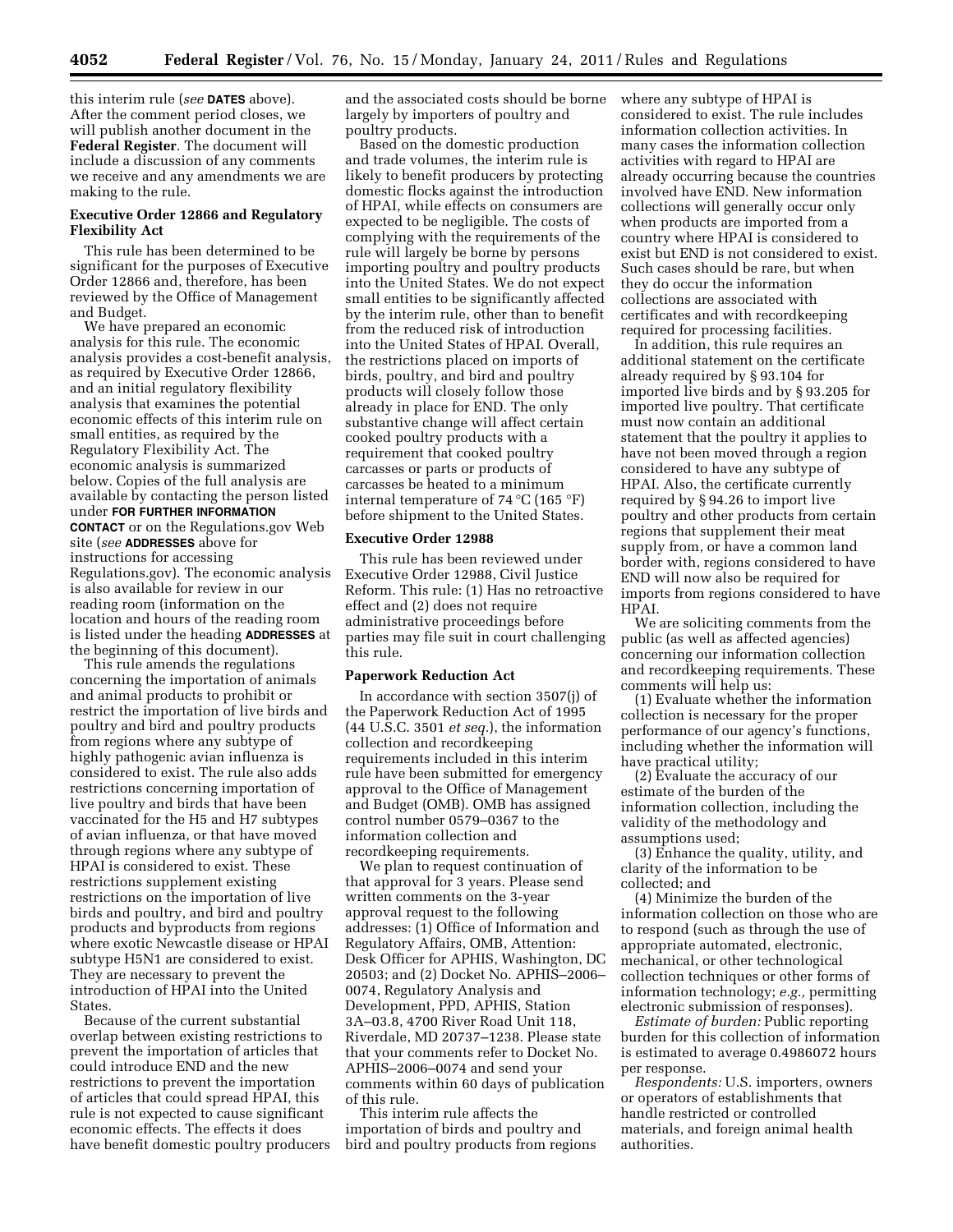this interim rule (*see* **DATES** above). After the comment period closes, we will publish another document in the **Federal Register**. The document will include a discussion of any comments we receive and any amendments we are making to the rule.

## **Executive Order 12866 and Regulatory Flexibility Act**

This rule has been determined to be significant for the purposes of Executive Order 12866 and, therefore, has been reviewed by the Office of Management and Budget.

We have prepared an economic analysis for this rule. The economic analysis provides a cost-benefit analysis, as required by Executive Order 12866, and an initial regulatory flexibility analysis that examines the potential economic effects of this interim rule on small entities, as required by the Regulatory Flexibility Act. The economic analysis is summarized below. Copies of the full analysis are available by contacting the person listed under **FOR FURTHER INFORMATION CONTACT** or on the Regulations.gov Web site (*see* **ADDRESSES** above for instructions for accessing Regulations.gov). The economic analysis is also available for review in our reading room (information on the location and hours of the reading room is listed under the heading **ADDRESSES** at the beginning of this document).

This rule amends the regulations concerning the importation of animals and animal products to prohibit or restrict the importation of live birds and poultry and bird and poultry products from regions where any subtype of highly pathogenic avian influenza is considered to exist. The rule also adds restrictions concerning importation of live poultry and birds that have been vaccinated for the H5 and H7 subtypes of avian influenza, or that have moved through regions where any subtype of HPAI is considered to exist. These restrictions supplement existing restrictions on the importation of live birds and poultry, and bird and poultry products and byproducts from regions where exotic Newcastle disease or HPAI subtype H5N1 are considered to exist. They are necessary to prevent the introduction of HPAI into the United States.

Because of the current substantial overlap between existing restrictions to prevent the importation of articles that could introduce END and the new restrictions to prevent the importation of articles that could spread HPAI, this rule is not expected to cause significant economic effects. The effects it does have benefit domestic poultry producers and the associated costs should be borne largely by importers of poultry and poultry products.

Based on the domestic production and trade volumes, the interim rule is likely to benefit producers by protecting domestic flocks against the introduction of HPAI, while effects on consumers are expected to be negligible. The costs of complying with the requirements of the rule will largely be borne by persons importing poultry and poultry products into the United States. We do not expect small entities to be significantly affected by the interim rule, other than to benefit from the reduced risk of introduction into the United States of HPAI. Overall, the restrictions placed on imports of birds, poultry, and bird and poultry products will closely follow those already in place for END. The only substantive change will affect certain cooked poultry products with a requirement that cooked poultry carcasses or parts or products of carcasses be heated to a minimum internal temperature of 74 °C (165 °F) before shipment to the United States.

### **Executive Order 12988**

This rule has been reviewed under Executive Order 12988, Civil Justice Reform. This rule: (1) Has no retroactive effect and (2) does not require administrative proceedings before parties may file suit in court challenging this rule.

#### **Paperwork Reduction Act**

In accordance with section 3507(j) of the Paperwork Reduction Act of 1995 (44 U.S.C. 3501 *et seq.*), the information collection and recordkeeping requirements included in this interim rule have been submitted for emergency approval to the Office of Management and Budget (OMB). OMB has assigned control number 0579–0367 to the information collection and recordkeeping requirements.

We plan to request continuation of that approval for 3 years. Please send written comments on the 3-year approval request to the following addresses: (1) Office of Information and Regulatory Affairs, OMB, Attention: Desk Officer for APHIS, Washington, DC 20503; and (2) Docket No. APHIS–2006– 0074, Regulatory Analysis and Development, PPD, APHIS, Station 3A–03.8, 4700 River Road Unit 118, Riverdale, MD 20737–1238. Please state that your comments refer to Docket No. APHIS–2006–0074 and send your comments within 60 days of publication of this rule.

This interim rule affects the importation of birds and poultry and bird and poultry products from regions where any subtype of HPAI is considered to exist. The rule includes information collection activities. In many cases the information collection activities with regard to HPAI are already occurring because the countries involved have END. New information collections will generally occur only when products are imported from a country where HPAI is considered to exist but END is not considered to exist. Such cases should be rare, but when they do occur the information collections are associated with certificates and with recordkeeping required for processing facilities.

In addition, this rule requires an additional statement on the certificate already required by § 93.104 for imported live birds and by § 93.205 for imported live poultry. That certificate must now contain an additional statement that the poultry it applies to have not been moved through a region considered to have any subtype of HPAI. Also, the certificate currently required by § 94.26 to import live poultry and other products from certain regions that supplement their meat supply from, or have a common land border with, regions considered to have END will now also be required for imports from regions considered to have HPAI.

We are soliciting comments from the public (as well as affected agencies) concerning our information collection and recordkeeping requirements. These comments will help us:

(1) Evaluate whether the information collection is necessary for the proper performance of our agency's functions, including whether the information will have practical utility;

(2) Evaluate the accuracy of our estimate of the burden of the information collection, including the validity of the methodology and assumptions used;

(3) Enhance the quality, utility, and clarity of the information to be collected; and

(4) Minimize the burden of the information collection on those who are to respond (such as through the use of appropriate automated, electronic, mechanical, or other technological collection techniques or other forms of information technology; *e.g.,* permitting electronic submission of responses).

*Estimate of burden:* Public reporting burden for this collection of information is estimated to average 0.4986072 hours per response.

*Respondents:* U.S. importers, owners or operators of establishments that handle restricted or controlled materials, and foreign animal health authorities.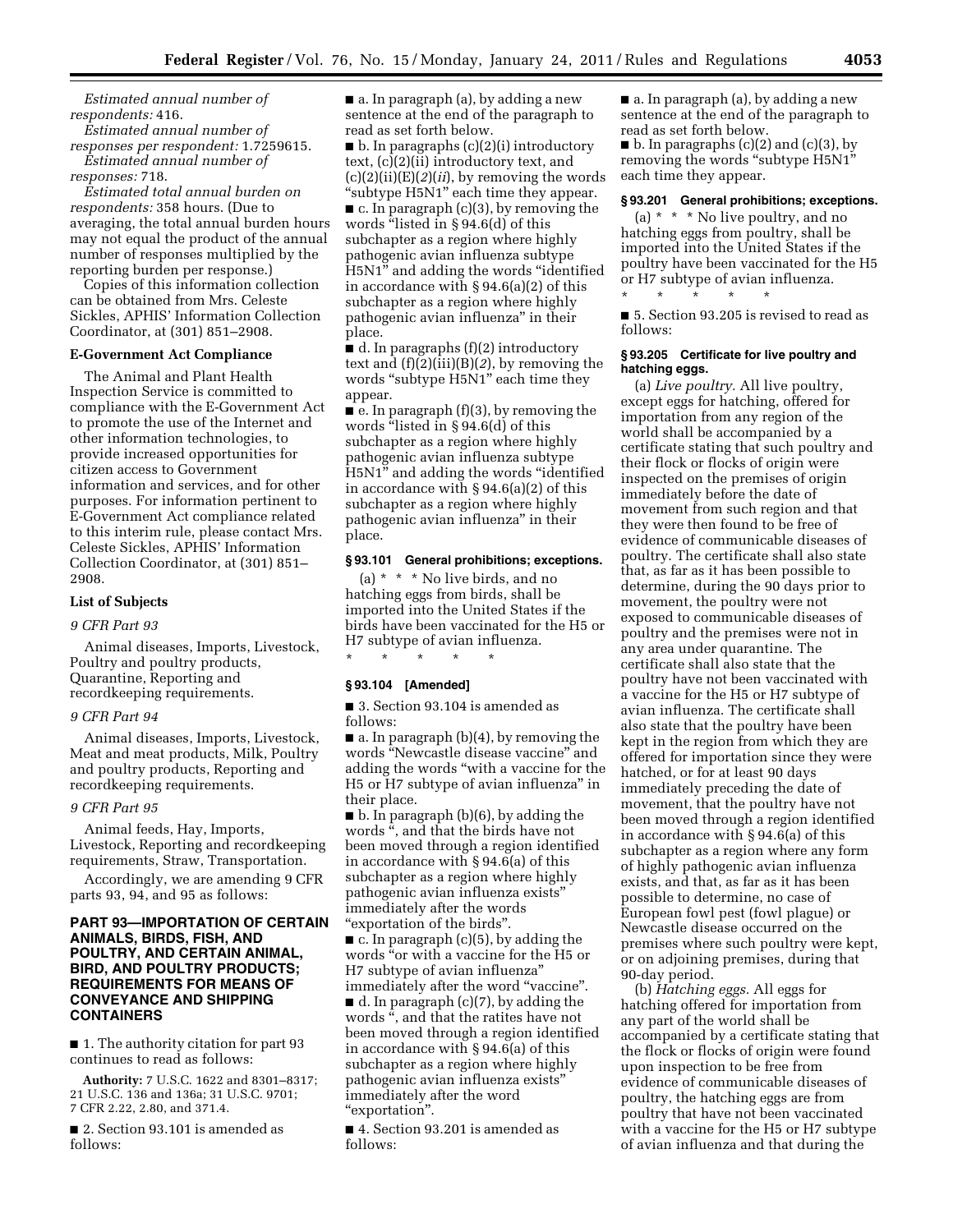*Estimated annual number of respondents:* 416.

*Estimated annual number of responses per respondent:* 1.7259615. *Estimated annual number of* 

*responses:* 718.

*Estimated total annual burden on respondents:* 358 hours. (Due to averaging, the total annual burden hours may not equal the product of the annual number of responses multiplied by the reporting burden per response.)

Copies of this information collection can be obtained from Mrs. Celeste Sickles, APHIS' Information Collection Coordinator, at (301) 851–2908.

#### **E-Government Act Compliance**

The Animal and Plant Health Inspection Service is committed to compliance with the E-Government Act to promote the use of the Internet and other information technologies, to provide increased opportunities for citizen access to Government information and services, and for other purposes. For information pertinent to E-Government Act compliance related to this interim rule, please contact Mrs. Celeste Sickles, APHIS' Information Collection Coordinator, at (301) 851– 2908.

#### **List of Subjects**

#### *9 CFR Part 93*

Animal diseases, Imports, Livestock, Poultry and poultry products, Quarantine, Reporting and recordkeeping requirements.

#### *9 CFR Part 94*

Animal diseases, Imports, Livestock, Meat and meat products, Milk, Poultry and poultry products, Reporting and recordkeeping requirements.

## *9 CFR Part 95*

Animal feeds, Hay, Imports, Livestock, Reporting and recordkeeping requirements, Straw, Transportation.

Accordingly, we are amending 9 CFR parts 93, 94, and 95 as follows:

# **PART 93—IMPORTATION OF CERTAIN ANIMALS, BIRDS, FISH, AND POULTRY, AND CERTAIN ANIMAL, BIRD, AND POULTRY PRODUCTS; REQUIREMENTS FOR MEANS OF CONVEYANCE AND SHIPPING CONTAINERS**

■ 1. The authority citation for part 93 continues to read as follows:

**Authority:** 7 U.S.C. 1622 and 8301–8317; 21 U.S.C. 136 and 136a; 31 U.S.C. 9701; 7 CFR 2.22, 2.80, and 371.4.

■ 2. Section 93.101 is amended as follows:

■ a. In paragraph (a), by adding a new sentence at the end of the paragraph to read as set forth below.

 $\blacksquare$  b. In paragraphs (c)(2)(i) introductory text, (c)(2)(ii) introductory text, and (c)(2)(ii)(E)(*2*)(*ii*), by removing the words "subtype H5N1" each time they appear.

 $\blacksquare$  c. In paragraph (c)(3), by removing the words "listed in §94.6(d) of this subchapter as a region where highly pathogenic avian influenza subtype H5N1'' and adding the words ''identified in accordance with § 94.6(a)(2) of this subchapter as a region where highly pathogenic avian influenza'' in their place.

■ d. In paragraphs (f)(2) introductory text and (f)(2)(iii)(B)(*2*), by removing the words "subtype H5N1" each time they appear.

 $\blacksquare$  e. In paragraph (f)(3), by removing the words "listed in § 94.6(d) of this subchapter as a region where highly pathogenic avian influenza subtype H5N1'' and adding the words ''identified in accordance with § 94.6(a)(2) of this subchapter as a region where highly pathogenic avian influenza'' in their place.

#### **§ 93.101 General prohibitions; exceptions.**

(a) \* \* \* No live birds, and no hatching eggs from birds, shall be imported into the United States if the birds have been vaccinated for the H5 or H7 subtype of avian influenza. \* \* \* \* \*

### **§ 93.104 [Amended]**

■ 3. Section 93.104 is amended as follows:

■ a. In paragraph (b)(4), by removing the words ''Newcastle disease vaccine'' and adding the words ''with a vaccine for the H5 or H7 subtype of avian influenza'' in their place.

■ b. In paragraph (b)(6), by adding the words '', and that the birds have not been moved through a region identified in accordance with § 94.6(a) of this subchapter as a region where highly pathogenic avian influenza exists'' immediately after the words ''exportation of the birds''.

 $\blacksquare$  c. In paragraph (c)(5), by adding the words ''or with a vaccine for the H5 or H7 subtype of avian influenza'' immediately after the word "vaccine". ■ d. In paragraph (c)(7), by adding the words '', and that the ratites have not been moved through a region identified in accordance with § 94.6(a) of this subchapter as a region where highly pathogenic avian influenza exists'' immediately after the word ''exportation''.

■ 4. Section 93.201 is amended as follows:

■ a. In paragraph (a), by adding a new sentence at the end of the paragraph to read as set forth below.

■ b. In paragraphs (c)(2) and (c)(3), by removing the words "subtype H5N1" each time they appear.

#### **§ 93.201 General prohibitions; exceptions.**

(a) \* \* \* No live poultry, and no hatching eggs from poultry, shall be imported into the United States if the poultry have been vaccinated for the H5 or H7 subtype of avian influenza. \* \* \* \* \*

■ 5. Section 93.205 is revised to read as follows:

#### **§ 93.205 Certificate for live poultry and hatching eggs.**

(a) *Live poultry.* All live poultry, except eggs for hatching, offered for importation from any region of the world shall be accompanied by a certificate stating that such poultry and their flock or flocks of origin were inspected on the premises of origin immediately before the date of movement from such region and that they were then found to be free of evidence of communicable diseases of poultry. The certificate shall also state that, as far as it has been possible to determine, during the 90 days prior to movement, the poultry were not exposed to communicable diseases of poultry and the premises were not in any area under quarantine. The certificate shall also state that the poultry have not been vaccinated with a vaccine for the H5 or H7 subtype of avian influenza. The certificate shall also state that the poultry have been kept in the region from which they are offered for importation since they were hatched, or for at least 90 days immediately preceding the date of movement, that the poultry have not been moved through a region identified in accordance with § 94.6(a) of this subchapter as a region where any form of highly pathogenic avian influenza exists, and that, as far as it has been possible to determine, no case of European fowl pest (fowl plague) or Newcastle disease occurred on the premises where such poultry were kept, or on adjoining premises, during that 90-day period.

(b) *Hatching eggs.* All eggs for hatching offered for importation from any part of the world shall be accompanied by a certificate stating that the flock or flocks of origin were found upon inspection to be free from evidence of communicable diseases of poultry, the hatching eggs are from poultry that have not been vaccinated with a vaccine for the H5 or H7 subtype of avian influenza and that during the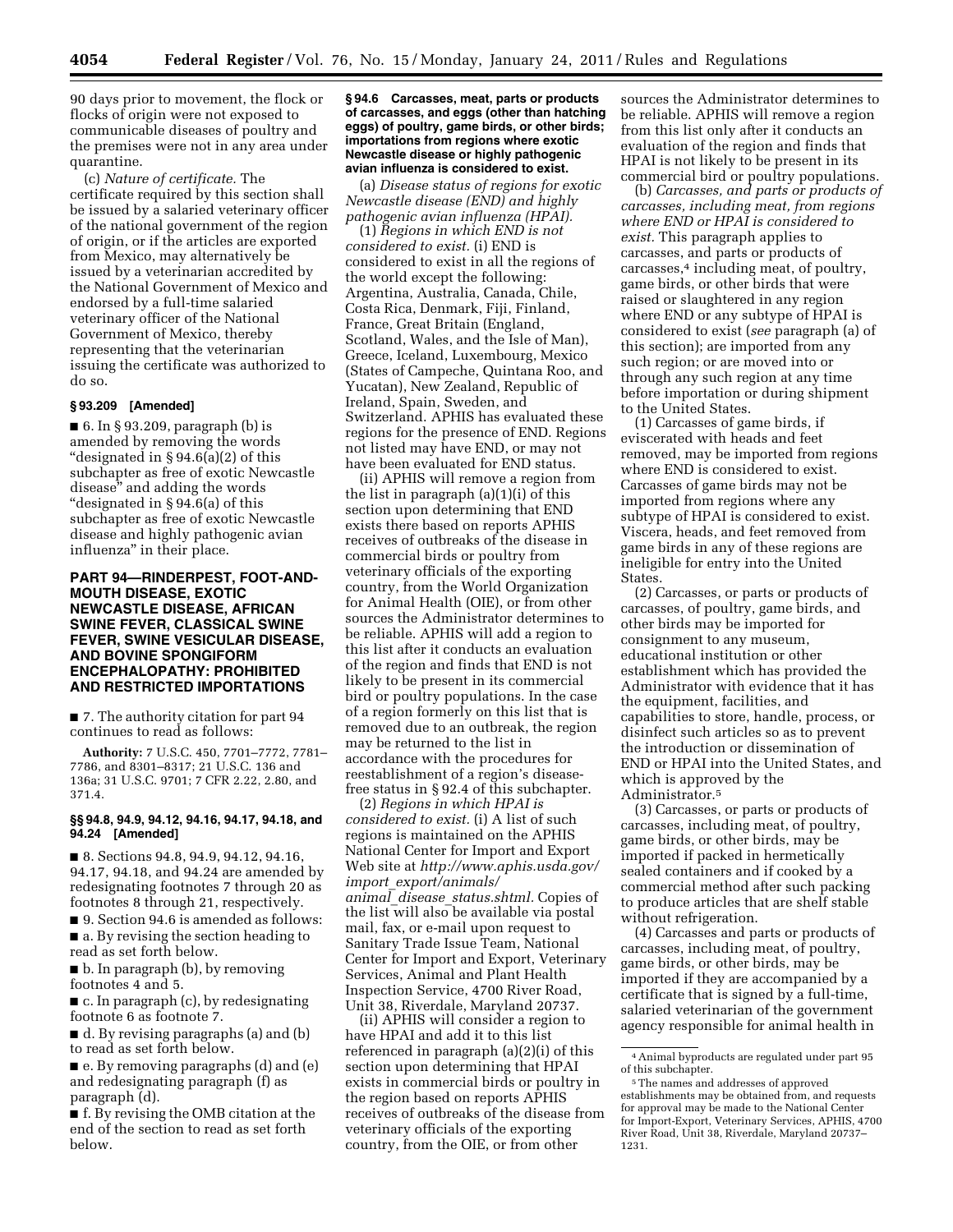90 days prior to movement, the flock or flocks of origin were not exposed to communicable diseases of poultry and the premises were not in any area under quarantine.

(c) *Nature of certificate.* The certificate required by this section shall be issued by a salaried veterinary officer of the national government of the region of origin, or if the articles are exported from Mexico, may alternatively be issued by a veterinarian accredited by the National Government of Mexico and endorsed by a full-time salaried veterinary officer of the National Government of Mexico, thereby representing that the veterinarian issuing the certificate was authorized to do so.

#### **§ 93.209 [Amended]**

■ 6. In § 93.209, paragraph (b) is amended by removing the words ''designated in § 94.6(a)(2) of this subchapter as free of exotic Newcastle disease'' and adding the words ''designated in § 94.6(a) of this subchapter as free of exotic Newcastle disease and highly pathogenic avian influenza'' in their place.

## **PART 94—RINDERPEST, FOOT-AND-MOUTH DISEASE, EXOTIC NEWCASTLE DISEASE, AFRICAN SWINE FEVER, CLASSICAL SWINE FEVER, SWINE VESICULAR DISEASE, AND BOVINE SPONGIFORM ENCEPHALOPATHY: PROHIBITED AND RESTRICTED IMPORTATIONS**

■ 7. The authority citation for part 94 continues to read as follows:

**Authority:** 7 U.S.C. 450, 7701–7772, 7781– 7786, and 8301–8317; 21 U.S.C. 136 and 136a; 31 U.S.C. 9701; 7 CFR 2.22, 2.80, and 371.4.

### **§§ 94.8, 94.9, 94.12, 94.16, 94.17, 94.18, and 94.24 [Amended]**

■ 8. Sections 94.8, 94.9, 94.12, 94.16, 94.17, 94.18, and 94.24 are amended by redesignating footnotes 7 through 20 as footnotes 8 through 21, respectively.

■ 9. Section 94.6 is amended as follows: ■ a. By revising the section heading to read as set forth below.

■ b. In paragraph (b), by removing footnotes 4 and 5.

■ c. In paragraph (c), by redesignating footnote 6 as footnote 7.

■ d. By revising paragraphs (a) and (b) to read as set forth below.

■ e. By removing paragraphs (d) and (e) and redesignating paragraph (f) as paragraph (d).

■ f. By revising the OMB citation at the end of the section to read as set forth below.

#### **§ 94.6 Carcasses, meat, parts or products of carcasses, and eggs (other than hatching eggs) of poultry, game birds, or other birds; importations from regions where exotic Newcastle disease or highly pathogenic avian influenza is considered to exist.**

(a) *Disease status of regions for exotic Newcastle disease (END) and highly pathogenic avian influenza (HPAI).* 

(1) *Regions in which END is not considered to exist.* (i) END is considered to exist in all the regions of the world except the following: Argentina, Australia, Canada, Chile, Costa Rica, Denmark, Fiji, Finland, France, Great Britain (England, Scotland, Wales, and the Isle of Man), Greece, Iceland, Luxembourg, Mexico (States of Campeche, Quintana Roo, and Yucatan), New Zealand, Republic of Ireland, Spain, Sweden, and Switzerland. APHIS has evaluated these regions for the presence of END. Regions not listed may have END, or may not have been evaluated for END status.

(ii) APHIS will remove a region from the list in paragraph (a)(1)(i) of this section upon determining that END exists there based on reports APHIS receives of outbreaks of the disease in commercial birds or poultry from veterinary officials of the exporting country, from the World Organization for Animal Health (OIE), or from other sources the Administrator determines to be reliable. APHIS will add a region to this list after it conducts an evaluation of the region and finds that END is not likely to be present in its commercial bird or poultry populations. In the case of a region formerly on this list that is removed due to an outbreak, the region may be returned to the list in accordance with the procedures for reestablishment of a region's diseasefree status in § 92.4 of this subchapter.

(2) *Regions in which HPAI is considered to exist.* (i) A list of such regions is maintained on the APHIS National Center for Import and Export Web site at *[http://www.aphis.usda.gov/](http://www.aphis.usda.gov/import_export/animals/animal_disease_status.shtml)  import*\_*[export/animals/](http://www.aphis.usda.gov/import_export/animals/animal_disease_status.shtml) animal*\_*disease*\_*[status.shtml.](http://www.aphis.usda.gov/import_export/animals/animal_disease_status.shtml)* Copies of the list will also be available via postal mail, fax, or e-mail upon request to Sanitary Trade Issue Team, National Center for Import and Export, Veterinary Services, Animal and Plant Health Inspection Service, 4700 River Road, Unit 38, Riverdale, Maryland 20737.

(ii) APHIS will consider a region to have HPAI and add it to this list referenced in paragraph (a)(2)(i) of this section upon determining that HPAI exists in commercial birds or poultry in the region based on reports APHIS receives of outbreaks of the disease from veterinary officials of the exporting country, from the OIE, or from other

sources the Administrator determines to be reliable. APHIS will remove a region from this list only after it conducts an evaluation of the region and finds that HPAI is not likely to be present in its commercial bird or poultry populations.

(b) *Carcasses, and parts or products of carcasses, including meat, from regions where END or HPAI is considered to exist.* This paragraph applies to carcasses, and parts or products of carcasses,4 including meat, of poultry, game birds, or other birds that were raised or slaughtered in any region where END or any subtype of HPAI is considered to exist (*see* paragraph (a) of this section); are imported from any such region; or are moved into or through any such region at any time before importation or during shipment to the United States.

(1) Carcasses of game birds, if eviscerated with heads and feet removed, may be imported from regions where END is considered to exist. Carcasses of game birds may not be imported from regions where any subtype of HPAI is considered to exist. Viscera, heads, and feet removed from game birds in any of these regions are ineligible for entry into the United **States** 

(2) Carcasses, or parts or products of carcasses, of poultry, game birds, and other birds may be imported for consignment to any museum, educational institution or other establishment which has provided the Administrator with evidence that it has the equipment, facilities, and capabilities to store, handle, process, or disinfect such articles so as to prevent the introduction or dissemination of END or HPAI into the United States, and which is approved by the Administrator.5

(3) Carcasses, or parts or products of carcasses, including meat, of poultry, game birds, or other birds, may be imported if packed in hermetically sealed containers and if cooked by a commercial method after such packing to produce articles that are shelf stable without refrigeration.

(4) Carcasses and parts or products of carcasses, including meat, of poultry, game birds, or other birds, may be imported if they are accompanied by a certificate that is signed by a full-time, salaried veterinarian of the government agency responsible for animal health in

<sup>4</sup>Animal byproducts are regulated under part 95 of this subchapter.

<sup>5</sup>The names and addresses of approved establishments may be obtained from, and requests for approval may be made to the National Center for Import-Export, Veterinary Services, APHIS, 4700 River Road, Unit 38, Riverdale, Maryland 20737– 1231.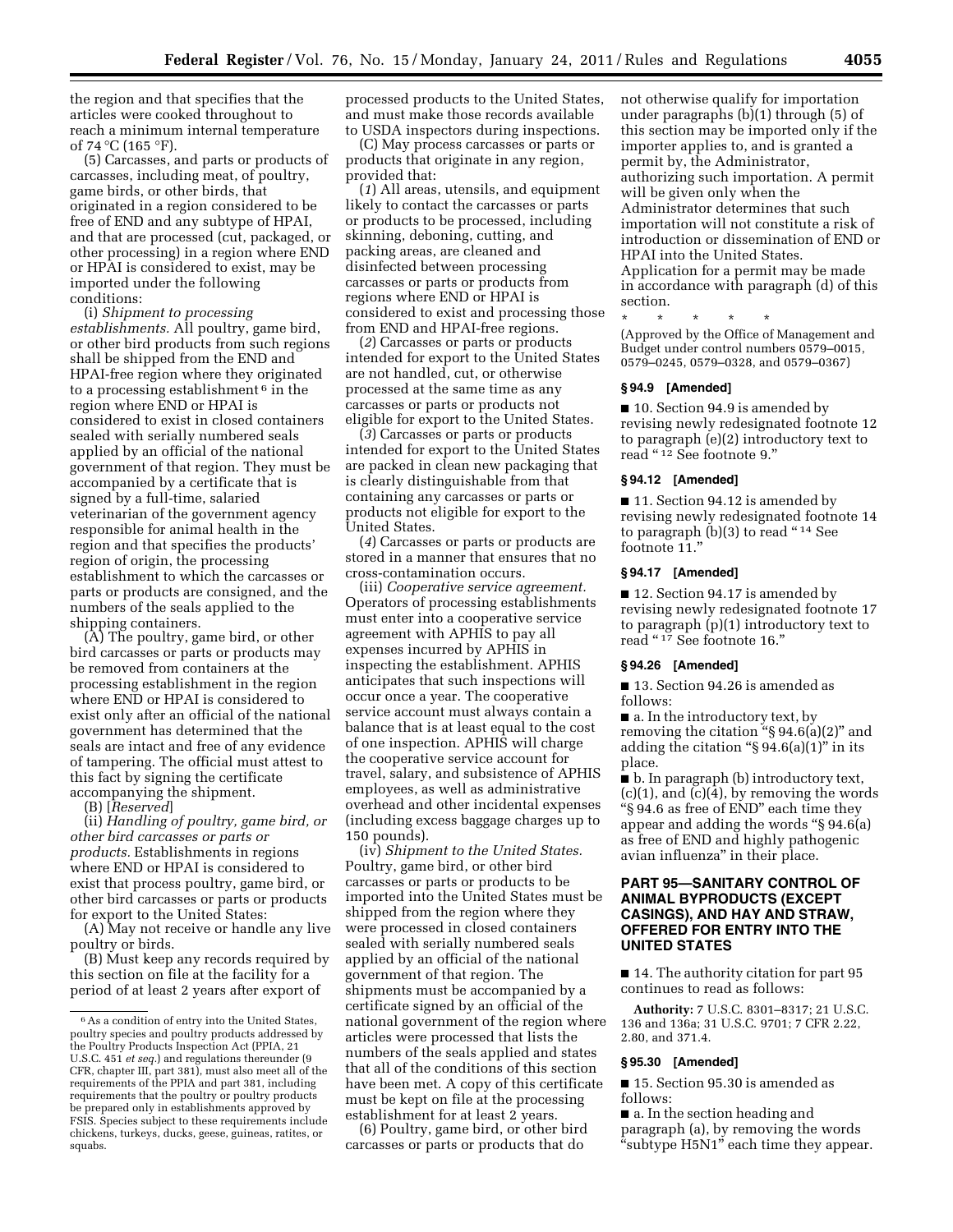the region and that specifies that the articles were cooked throughout to reach a minimum internal temperature of 74 °C (165 °F).

(5) Carcasses, and parts or products of carcasses, including meat, of poultry, game birds, or other birds, that originated in a region considered to be free of END and any subtype of HPAI, and that are processed (cut, packaged, or other processing) in a region where END or HPAI is considered to exist, may be imported under the following conditions:

(i) *Shipment to processing establishments.* All poultry, game bird, or other bird products from such regions shall be shipped from the END and HPAI-free region where they originated to a processing establishment<sup> $6$ </sup> in the region where END or HPAI is considered to exist in closed containers sealed with serially numbered seals applied by an official of the national government of that region. They must be accompanied by a certificate that is signed by a full-time, salaried veterinarian of the government agency responsible for animal health in the region and that specifies the products' region of origin, the processing establishment to which the carcasses or parts or products are consigned, and the numbers of the seals applied to the shipping containers.

(A) The poultry, game bird, or other bird carcasses or parts or products may be removed from containers at the processing establishment in the region where END or HPAI is considered to exist only after an official of the national government has determined that the seals are intact and free of any evidence of tampering. The official must attest to this fact by signing the certificate accompanying the shipment.

(B) [*Reserved*]

(ii) *Handling of poultry, game bird, or other bird carcasses or parts or products.* Establishments in regions where END or HPAI is considered to exist that process poultry, game bird, or other bird carcasses or parts or products for export to the United States:

(A) May not receive or handle any live poultry or birds.

(B) Must keep any records required by this section on file at the facility for a period of at least 2 years after export of

processed products to the United States, and must make those records available to USDA inspectors during inspections.

(C) May process carcasses or parts or products that originate in any region, provided that:

(*1*) All areas, utensils, and equipment likely to contact the carcasses or parts or products to be processed, including skinning, deboning, cutting, and packing areas, are cleaned and disinfected between processing carcasses or parts or products from regions where END or HPAI is considered to exist and processing those from END and HPAI-free regions.

(*2*) Carcasses or parts or products intended for export to the United States are not handled, cut, or otherwise processed at the same time as any carcasses or parts or products not eligible for export to the United States.

(*3*) Carcasses or parts or products intended for export to the United States are packed in clean new packaging that is clearly distinguishable from that containing any carcasses or parts or products not eligible for export to the United States.

(*4*) Carcasses or parts or products are stored in a manner that ensures that no cross-contamination occurs.

(iii) *Cooperative service agreement.*  Operators of processing establishments must enter into a cooperative service agreement with APHIS to pay all expenses incurred by APHIS in inspecting the establishment. APHIS anticipates that such inspections will occur once a year. The cooperative service account must always contain a balance that is at least equal to the cost of one inspection. APHIS will charge the cooperative service account for travel, salary, and subsistence of APHIS employees, as well as administrative overhead and other incidental expenses (including excess baggage charges up to 150 pounds).

(iv) *Shipment to the United States.*  Poultry, game bird, or other bird carcasses or parts or products to be imported into the United States must be shipped from the region where they were processed in closed containers sealed with serially numbered seals applied by an official of the national government of that region. The shipments must be accompanied by a certificate signed by an official of the national government of the region where articles were processed that lists the numbers of the seals applied and states that all of the conditions of this section have been met. A copy of this certificate must be kept on file at the processing establishment for at least 2 years.

(6) Poultry, game bird, or other bird carcasses or parts or products that do

not otherwise qualify for importation under paragraphs (b)(1) through (5) of this section may be imported only if the importer applies to, and is granted a permit by, the Administrator, authorizing such importation. A permit will be given only when the Administrator determines that such importation will not constitute a risk of introduction or dissemination of END or HPAI into the United States. Application for a permit may be made in accordance with paragraph (d) of this section.

\* \* \* \* \* (Approved by the Office of Management and Budget under control numbers 0579–0015, 0579–0245, 0579–0328, and 0579–0367)

#### **§ 94.9 [Amended]**

■ 10. Section 94.9 is amended by revising newly redesignated footnote 12 to paragraph (e)(2) introductory text to read "12 See footnote 9."

### **§ 94.12 [Amended]**

■ 11. Section 94.12 is amended by revising newly redesignated footnote 14 to paragraph (b)(3) to read "14 See footnote 11."

## **§ 94.17 [Amended]**

■ 12. Section 94.17 is amended by revising newly redesignated footnote 17 to paragraph (p)(1) introductory text to read "17 See footnote 16."

### **§ 94.26 [Amended]**

■ 13. Section 94.26 is amended as follows:

■ a. In the introductory text, by removing the citation " $\S 94.6(a)(2)$ " and adding the citation " $\S 94.6(a)(1)$ " in its place.

■ b. In paragraph (b) introductory text,  $(c)(1)$ , and  $(c)(4)$ , by removing the words ''§ 94.6 as free of END'' each time they appear and adding the words ''§ 94.6(a) as free of END and highly pathogenic avian influenza'' in their place.

# **PART 95—SANITARY CONTROL OF ANIMAL BYPRODUCTS (EXCEPT CASINGS), AND HAY AND STRAW, OFFERED FOR ENTRY INTO THE UNITED STATES**

■ 14. The authority citation for part 95 continues to read as follows:

**Authority:** 7 U.S.C. 8301–8317; 21 U.S.C. 136 and 136a; 31 U.S.C. 9701; 7 CFR 2.22, 2.80, and 371.4.

#### **§ 95.30 [Amended]**

■ 15. Section 95.30 is amended as follows:

■ a. In the section heading and paragraph (a), by removing the words "subtype H5N1" each time they appear.

<sup>6</sup>As a condition of entry into the United States, poultry species and poultry products addressed by the Poultry Products Inspection Act (PPIA, 21 U.S.C. 451 *et seq.*) and regulations thereunder (9 CFR, chapter III, part 381), must also meet all of the requirements of the PPIA and part 381, including requirements that the poultry or poultry products be prepared only in establishments approved by FSIS. Species subject to these requirements include chickens, turkeys, ducks, geese, guineas, ratites, or squabs.